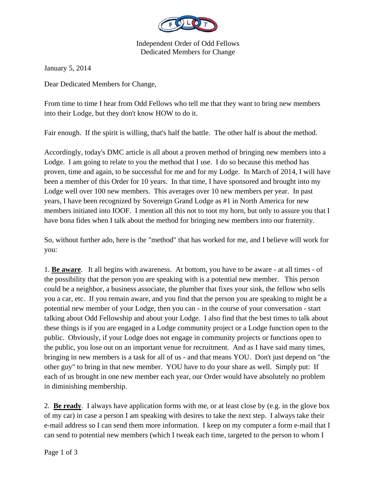

Independent Order of Odd Fellows Dedicated Members for Change

January 5, 2014

Dear Dedicated Members for Change,

From time to time I hear from Odd Fellows who tell me that they want to bring new members into their Lodge, but they don't know HOW to do it.

Fair enough. If the spirit is willing, that's half the battle. The other half is about the method.

Accordingly, today's DMC article is all about a proven method of bringing new members into a Lodge. I am going to relate to you the method that I use. I do so because this method has proven, time and again, to be successful for me and for my Lodge. In March of 2014, I will have been a member of this Order for 10 years. In that time, I have sponsored and brought into my Lodge well over 100 new members. This averages over 10 new members per year. In past years, I have been recognized by Sovereign Grand Lodge as #1 in North America for new members initiated into IOOF. I mention all this not to toot my horn, but only to assure you that I have bona fides when I talk about the method for bringing new members into our fraternity.

So, without further ado, here is the "method" that has worked for me, and I believe will work for you:

1. **Be aware**. It all begins with awareness. At bottom, you have to be aware - at all times - of the possibility that the person you are speaking with is a potential new member. This person could be a neighbor, a business associate, the plumber that fixes your sink, the fellow who sells you a car, etc. If you remain aware, and you find that the person you are speaking to might be a potential new member of your Lodge, then you can - in the course of your conversation - start talking about Odd Fellowship and about your Lodge. I also find that the best times to talk about these things is if you are engaged in a Lodge community project or a Lodge function open to the public. Obviously, if your Lodge does not engage in community projects or functions open to the public, you lose out on an important venue for recruitment. And as I have said many times, bringing in new members is a task for all of us - and that means YOU. Don't just depend on "the other guy" to bring in that new member. YOU have to do your share as well. Simply put: If each of us brought in one new member each year, our Order would have absolutely no problem in diminishing membership.

2. **Be ready**. I always have application forms with me, or at least close by (e.g. in the glove box of my car) in case a person I am speaking with desires to take the next step. I always take their e-mail address so I can send them more information. I keep on my computer a form e-mail that I can send to potential new members (which I tweak each time, targeted to the person to whom I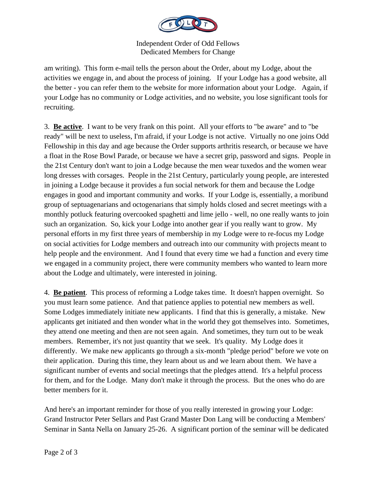

Independent Order of Odd Fellows Dedicated Members for Change

am writing). This form e-mail tells the person about the Order, about my Lodge, about the activities we engage in, and about the process of joining. If your Lodge has a good website, all the better - you can refer them to the website for more information about your Lodge. Again, if your Lodge has no community or Lodge activities, and no website, you lose significant tools for recruiting.

3. **Be active**. I want to be very frank on this point. All your efforts to "be aware" and to "be ready" will be next to useless, I'm afraid, if your Lodge is not active. Virtually no one joins Odd Fellowship in this day and age because the Order supports arthritis research, or because we have a float in the Rose Bowl Parade, or because we have a secret grip, password and signs. People in the 21st Century don't want to join a Lodge because the men wear tuxedos and the women wear long dresses with corsages. People in the 21st Century, particularly young people, are interested in joining a Lodge because it provides a fun social network for them and because the Lodge engages in good and important community and works. If your Lodge is, essentially, a moribund group of septuagenarians and octogenarians that simply holds closed and secret meetings with a monthly potluck featuring overcooked spaghetti and lime jello - well, no one really wants to join such an organization. So, kick your Lodge into another gear if you really want to grow. My personal efforts in my first three years of membership in my Lodge were to re-focus my Lodge on social activities for Lodge members and outreach into our community with projects meant to help people and the environment. And I found that every time we had a function and every time we engaged in a community project, there were community members who wanted to learn more about the Lodge and ultimately, were interested in joining.

4. **Be patient**. This process of reforming a Lodge takes time. It doesn't happen overnight. So you must learn some patience. And that patience applies to potential new members as well. Some Lodges immediately initiate new applicants. I find that this is generally, a mistake. New applicants get initiated and then wonder what in the world they got themselves into. Sometimes, they attend one meeting and then are not seen again. And sometimes, they turn out to be weak members. Remember, it's not just quantity that we seek. It's quality. My Lodge does it differently. We make new applicants go through a six-month "pledge period" before we vote on their application. During this time, they learn about us and we learn about them. We have a significant number of events and social meetings that the pledges attend. It's a helpful process for them, and for the Lodge. Many don't make it through the process. But the ones who do are better members for it.

And here's an important reminder for those of you really interested in growing your Lodge: Grand Instructor Peter Sellars and Past Grand Master Don Lang will be conducting a Members' Seminar in Santa Nella on January 25-26. A significant portion of the seminar will be dedicated